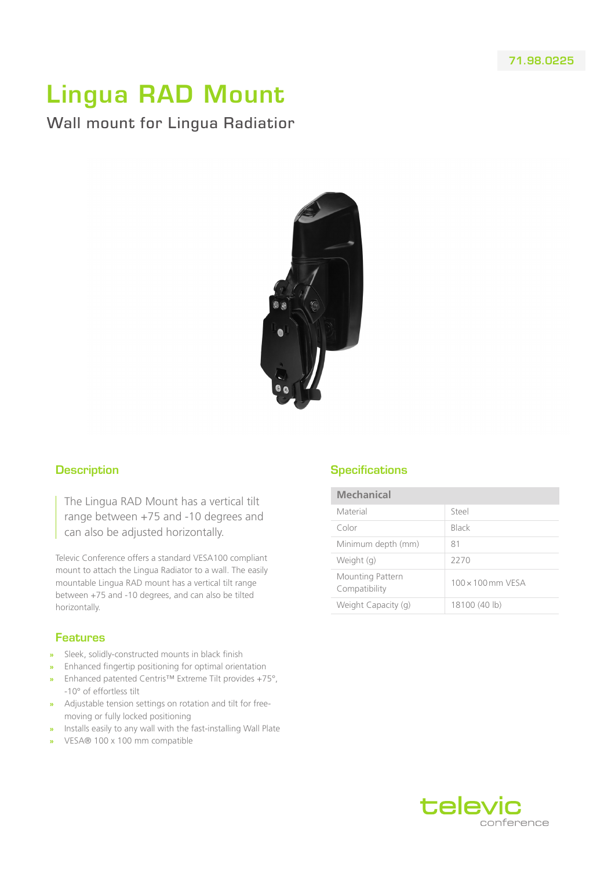## Lingua RAD Mount

Wall mount for Lingua Radiatior



## **Description**

The Lingua RAD Mount has a vertical tilt range between +75 and -10 degrees and can also be adjusted horizontally.

Televic Conference offers a standard VESA100 compliant mount to attach the Lingua Radiator to a wall. The easily mountable Lingua RAD mount has a vertical tilt range between +75 and -10 degrees, and can also be tilted horizontally.

## Features

- **»** Sleek, solidly-constructed mounts in black finish
- **»** Enhanced fingertip positioning for optimal orientation
- **»** Enhanced patented Centris™ Extreme Tilt provides +75°, -10° of effortless tilt
- **»** Adjustable tension settings on rotation and tilt for freemoving or fully locked positioning
- **»** Installs easily to any wall with the fast-installing Wall Plate
- **»** VESA® 100 x 100 mm compatible

## **Specifications**

| <b>Mechanical</b>                 |                          |
|-----------------------------------|--------------------------|
| Material                          | Steel                    |
| Color                             | Black                    |
| Minimum depth (mm)                | 81                       |
| Weight (g)                        | 2270                     |
| Mounting Pattern<br>Compatibility | $100 \times 100$ mm VFSA |
| Weight Capacity (g)               | 18100 (40 lb)            |